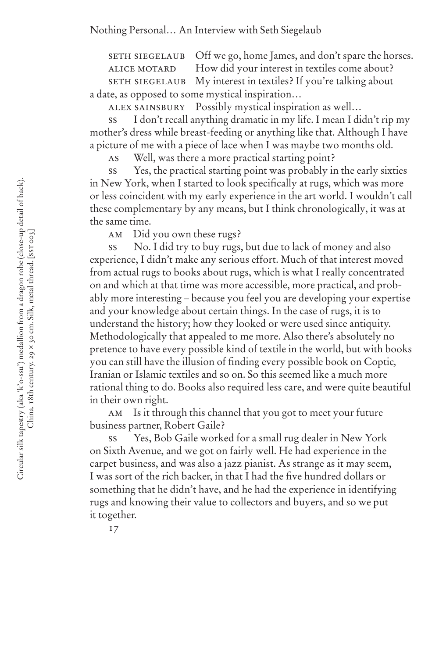SETH SIEGELAUB Off we go, home James, and don't spare the horses. ALICE MOTARD How did your interest in textiles come about? seth siegelaub My interest in textiles? If you're talking about a date, as opposed to some mystical inspiration…

alex sainsbury Possibly mystical inspiration as well…

ss I don't recall anything dramatic in my life. I mean I didn't rip my mother's dress while breast-feeding or anything like that. Although I have a picture of me with a piece of lace when I was maybe two months old.

as Well, was there a more practical starting point?

ss Yes, the practical starting point was probably in the early sixties in New York, when I started to look specifically at rugs, which was more or less coincident with my early experience in the art world. I wouldn't call these complementary by any means, but I think chronologically, it was at the same time.

am Did you own these rugs?

ss No. I did try to buy rugs, but due to lack of money and also experience, I didn't make any serious effort. Much of that interest moved from actual rugs to books about rugs, which is what I really concentrated on and which at that time was more accessible, more practical, and probably more interesting – because you feel you are developing your expertise and your knowledge about certain things. In the case of rugs, it is to understand the history; how they looked or were used since antiquity. Methodologically that appealed to me more. Also there's absolutely no pretence to have every possible kind of textile in the world, but with books you can still have the illusion of finding every possible book on Coptic*,* Iranian or Islamic textiles and so on. So this seemed like a much more rational thing to do. Books also required less care, and were quite beautiful in their own right.

am Is it through this channel that you got to meet your future business partner, Robert Gaile?

ss Yes, Bob Gaile worked for a small rug dealer in New York on Sixth Avenue, and we got on fairly well. He had experience in the carpet business, and was also a jazz pianist. As strange as it may seem, I was sort of the rich backer, in that I had the five hundred dollars or something that he didn't have, and he had the experience in identifying rugs and knowing their value to collectors and buyers, and so we put it together.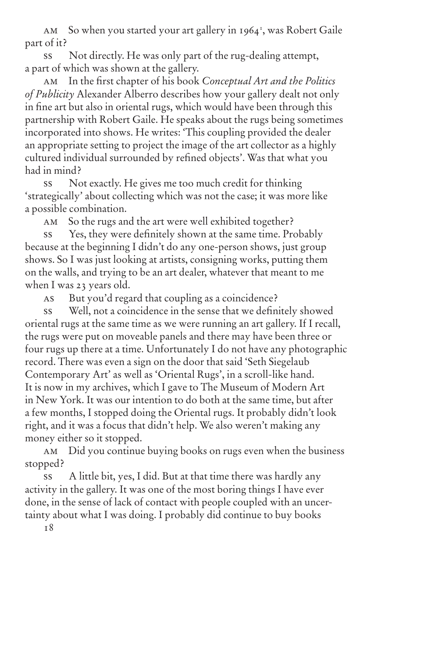AM So when you started your art gallery in 1964<sup>1</sup>, was Robert Gaile part of it?

ss Not directly. He was only part of the rug-dealing attempt, a part of which was shown at the gallery.

am In the first chapter of his book *Conceptual Art and the Politics of Publicity* Alexander Alberro describes how your gallery dealt not only in fine art but also in oriental rugs, which would have been through this partnership with Robert Gaile. He speaks about the rugs being sometimes incorporated into shows. He writes: 'This coupling provided the dealer an appropriate setting to project the image of the art collector as a highly cultured individual surrounded by refined objects'. Was that what you had in mind?

ss Not exactly. He gives me too much credit for thinking 'strategically' about collecting which was not the case; it was more like a possible combination.

am So the rugs and the art were well exhibited together?

ss Yes, they were definitely shown at the same time. Probably because at the beginning I didn't do any one-person shows, just group shows. So I was just looking at artists, consigning works, putting them on the walls, and trying to be an art dealer, whatever that meant to me when I was 23 years old.

as But you'd regard that coupling as a coincidence?

ss Well, not a coincidence in the sense that we definitely showed oriental rugs at the same time as we were running an art gallery. If I recall, the rugs were put on moveable panels and there may have been three or four rugs up there at a time. Unfortunately I do not have any photographic record. There was even a sign on the door that said 'Seth Siegelaub Contemporary Art' as well as 'Oriental Rugs', in a scroll-like hand. It is now in my archives, which I gave to The Museum of Modern Art in New York. It was our intention to do both at the same time, but after a few months, I stopped doing the Oriental rugs. It probably didn't look right, and it was a focus that didn't help. We also weren't making any money either so it stopped.

am Did you continue buying books on rugs even when the business stopped?

ss A little bit, yes, I did. But at that time there was hardly any activity in the gallery. It was one of the most boring things I have ever done, in the sense of lack of contact with people coupled with an uncertainty about what I was doing. I probably did continue to buy books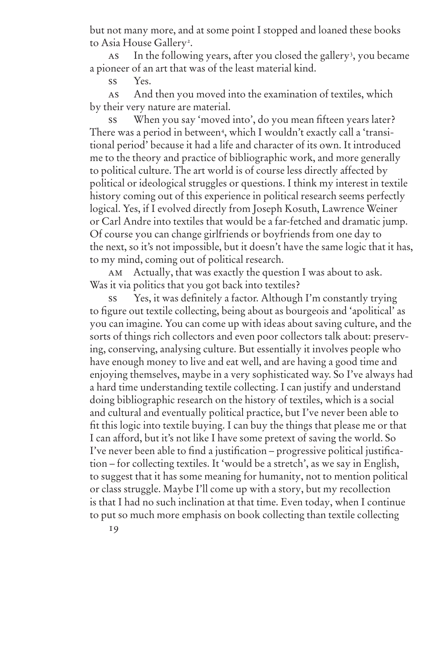but not many more, and at some point I stopped and loaned these books to Asia House Gallery<sup>2</sup>.

As In the following years, after you closed the gallery<sup>3</sup>, you became a pioneer of an art that was of the least material kind.

ss Yes.

as And then you moved into the examination of textiles, which by their very nature are material.

ss When you say 'moved into', do you mean fifteen years later? There was a period in between4, which I wouldn't exactly call a 'transitional period' because it had a life and character of its own. It introduced me to the theory and practice of bibliographic work, and more generally to political culture. The art world is of course less directly affected by political or ideological struggles or questions. I think my interest in textile history coming out of this experience in political research seems perfectly logical. Yes, if I evolved directly from Joseph Kosuth, Lawrence Weiner or Carl Andre into textiles that would be a far-fetched and dramatic jump. Of course you can change girlfriends or boyfriends from one day to the next, so it's not impossible, but it doesn't have the same logic that it has, to my mind, coming out of political research.

am Actually, that was exactly the question I was about to ask. Was it via politics that you got back into textiles?

ss Yes, it was definitely a factor. Although I'm constantly trying to figure out textile collecting, being about as bourgeois and 'apolitical' as you can imagine. You can come up with ideas about saving culture, and the sorts of things rich collectors and even poor collectors talk about: preserving, conserving, analysing culture. But essentially it involves people who have enough money to live and eat well, and are having a good time and enjoying themselves, maybe in a very sophisticated way. So I've always had a hard time understanding textile collecting. I can justify and understand doing bibliographic research on the history of textiles, which is a social and cultural and eventually political practice, but I've never been able to fit this logic into textile buying. I can buy the things that please me or that I can afford, but it's not like I have some pretext of saving the world. So I've never been able to find a justification – progressive political justification – for collecting textiles. It 'would be a stretch', as we say in English, to suggest that it has some meaning for humanity, not to mention political or class struggle. Maybe I'll come up with a story, but my recollection is that I had no such inclination at that time. Even today, when I continue to put so much more emphasis on book collecting than textile collecting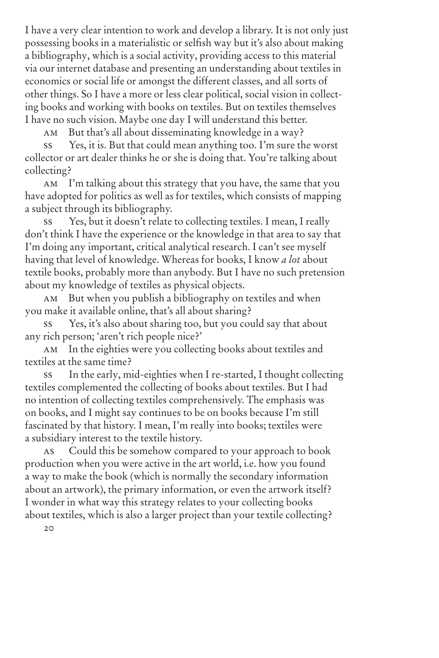I have a very clear intention to work and develop a library. It is not only just possessing books in a materialistic or selfish way but it's also about making a bibliography, which is a social activity, providing access to this material via our internet database and presenting an understanding about textiles in economics or social life or amongst the different classes, and all sorts of other things. So I have a more or less clear political, social vision in collecting books and working with books on textiles. But on textiles themselves I have no such vision. Maybe one day I will understand this better.

am But that's all about disseminating knowledge in a way?

ss Yes, it is. But that could mean anything too. I'm sure the worst collector or art dealer thinks he or she is doing that. You're talking about collecting?

am I'm talking about this strategy that you have, the same that you have adopted for politics as well as for textiles, which consists of mapping a subject through its bibliography.

Yes, but it doesn't relate to collecting textiles. I mean, I really don't think I have the experience or the knowledge in that area to say that I'm doing any important, critical analytical research. I can't see myself having that level of knowledge. Whereas for books, I know *a lot* about textile books, probably more than anybody. But I have no such pretension about my knowledge of textiles as physical objects.

am But when you publish a bibliography on textiles and when you make it available online, that's all about sharing?

Yes, it's also about sharing too, but you could say that about any rich person; 'aren't rich people nice?'

am In the eighties were you collecting books about textiles and textiles at the same time?

ss In the early, mid-eighties when I re-started, I thought collecting textiles complemented the collecting of books about textiles. But I had no intention of collecting textiles comprehensively. The emphasis was on books, and I might say continues to be on books because I'm still fascinated by that history. I mean, I'm really into books; textiles were a subsidiary interest to the textile history.

as Could this be somehow compared to your approach to book production when you were active in the art world, i.e. how you found a way to make the book (which is normally the secondary information about an artwork), the primary information, or even the artwork itself? I wonder in what way this strategy relates to your collecting books about textiles, which is also a larger project than your textile collecting?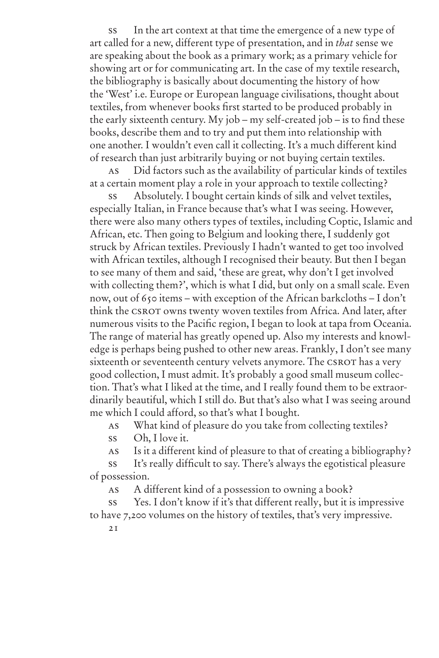ss In the art context at that time the emergence of a new type of art called for a new, different type of presentation, and in *that* sense we are speaking about the book as a primary work; as a primary vehicle for showing art or for communicating art. In the case of my textile research, the bibliography is basically about documenting the history of how the 'West' i.e. Europe or European language civilisations, thought about textiles, from whenever books first started to be produced probably in the early sixteenth century. My job – my self-created job – is to find these books, describe them and to try and put them into relationship with one another. I wouldn't even call it collecting. It's a much different kind of research than just arbitrarily buying or not buying certain textiles.

as Did factors such as the availability of particular kinds of textiles at a certain moment play a role in your approach to textile collecting?

ss Absolutely. I bought certain kinds of silk and velvet textiles, especially Italian, in France because that's what I was seeing. However, there were also many others types of textiles, including Coptic, Islamic and African, etc. Then going to Belgium and looking there, I suddenly got struck by African textiles. Previously I hadn't wanted to get too involved with African textiles, although I recognised their beauty. But then I began to see many of them and said, 'these are great, why don't I get involved with collecting them?', which is what I did, but only on a small scale. Even now, out of 650 items – with exception of the African barkcloths – I don't think the csrot owns twenty woven textiles from Africa. And later, after numerous visits to the Pacific region, I began to look at tapa from Oceania. The range of material has greatly opened up. Also my interests and knowledge is perhaps being pushed to other new areas. Frankly, I don't see many sixteenth or seventeenth century velvets anymore. The CSROT has a very good collection, I must admit. It's probably a good small museum collection. That's what I liked at the time, and I really found them to be extraordinarily beautiful, which I still do. But that's also what I was seeing around me which I could afford, so that's what I bought.

as What kind of pleasure do you take from collecting textiles?

ss Oh, I love it.

as Is it a different kind of pleasure to that of creating a bibliography?

ss It's really difficult to say. There's always the egotistical pleasure of possession.

as A different kind of a possession to owning a book?

ss Yes. I don't know if it's that different really, but it is impressive to have 7,200 volumes on the history of textiles, that's very impressive.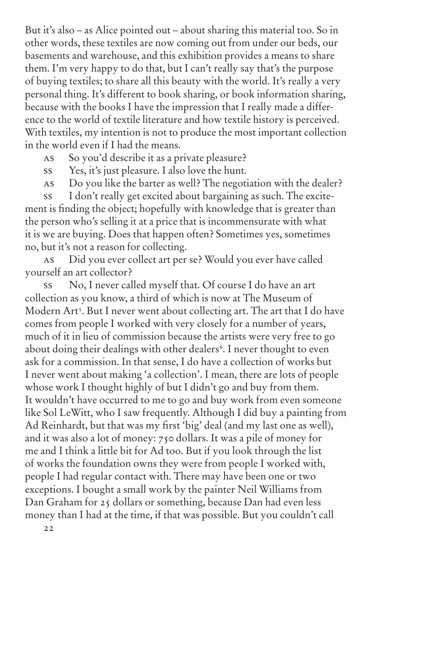But it's also – as Alice pointed out – about sharing this material too. So in other words, these textiles are now coming out from under our beds, our basements and warehouse, and this exhibition provides a means to share them. I'm very happy to do that, but I can't really say that's the purpose of buying textiles; to share all this beauty with the world. It's really a very personal thing. It's different to book sharing, or book information sharing, because with the books I have the impression that I really made a difference to the world of textile literature and how textile history is perceived. With textiles, my intention is not to produce the most important collection in the world even if I had the means.

as So you'd describe it as a private pleasure?

ss Yes, it's just pleasure. I also love the hunt.

as Do you like the barter as well? The negotiation with the dealer?

ss I don't really get excited about bargaining as such. The excitement is finding the object; hopefully with knowledge that is greater than the person who's selling it at a price that is incommensurate with what it is we are buying. Does that happen often? Sometimes yes, sometimes no, but it's not a reason for collecting.

as Did you ever collect art per se? Would you ever have called yourself an art collector?

ss No, I never called myself that. Of course I do have an art collection as you know, a third of which is now at The Museum of Modern Art<sup>5</sup>. But I never went about collecting art. The art that I do have comes from people I worked with very closely for a number of years, much of it in lieu of commission because the artists were very free to go about doing their dealings with other dealers<sup>6</sup>. I never thought to even ask for a commission. In that sense, I do have a collection of works but I never went about making 'a collection'. I mean, there are lots of people whose work I thought highly of but I didn't go and buy from them. It wouldn't have occurred to me to go and buy work from even someone like Sol LeWitt, who I saw frequently. Although I did buy a painting from Ad Reinhardt, but that was my first 'big' deal (and my last one as well), and it was also a lot of money: 750 dollars. It was a pile of money for me and I think a little bit for Ad too. But if you look through the list of works the foundation owns they were from people I worked with, people I had regular contact with. There may have been one or two exceptions. I bought a small work by the painter Neil Williams from Dan Graham for 25 dollars or something, because Dan had even less money than I had at the time, if that was possible. But you couldn't call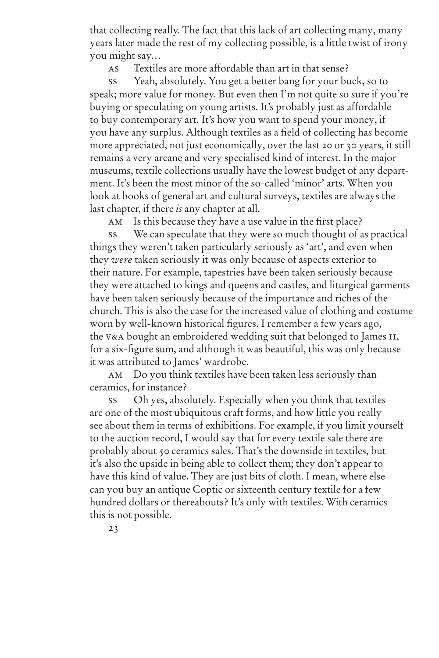that collecting really. The fact that this lack of art collecting many, many years later made the rest of my collecting possible, is a little twist of irony you might say…

as Textiles are more affordable than art in that sense?

ss Yeah, absolutely. You get a better bang for your buck, so to speak; more value for money. But even then I'm not quite so sure if you're buying or speculating on young artists. It's probably just as affordable to buy contemporary art. It's how you want to spend your money, if you have any surplus. Although textiles as a field of collecting has become more appreciated, not just economically, over the last 20 or 30 years, it still remains a very arcane and very specialised kind of interest. In the major museums, textile collections usually have the lowest budget of any department. It's been the most minor of the so-called 'minor' arts. When you look at books of general art and cultural surveys, textiles are always the last chapter, if there *is* any chapter at all.

am Is this because they have a use value in the first place?

ss We can speculate that they were so much thought of as practical things they weren't taken particularly seriously as 'art', and even when they *were* taken seriously it was only because of aspects exterior to their nature. For example, tapestries have been taken seriously because they were attached to kings and queens and castles, and liturgical garments have been taken seriously because of the importance and riches of the church. This is also the case for the increased value of clothing and costume worn by well-known historical figures. I remember a few years ago, the v&a bought an embroidered wedding suit that belonged to James ii, for a six-figure sum, and although it was beautiful, this was only because it was attributed to James' wardrobe.

am Do you think textiles have been taken less seriously than ceramics, for instance?

ss Oh yes, absolutely. Especially when you think that textiles are one of the most ubiquitous craft forms, and how little you really see about them in terms of exhibitions. For example, if you limit yourself to the auction record, I would say that for every textile sale there are probably about 50 ceramics sales. That's the downside in textiles, but it's also the upside in being able to collect them; they don't appear to have this kind of value. They are just bits of cloth. I mean, where else can you buy an antique Coptic or sixteenth century textile for a few hundred dollars or thereabouts? It's only with textiles. With ceramics this is not possible.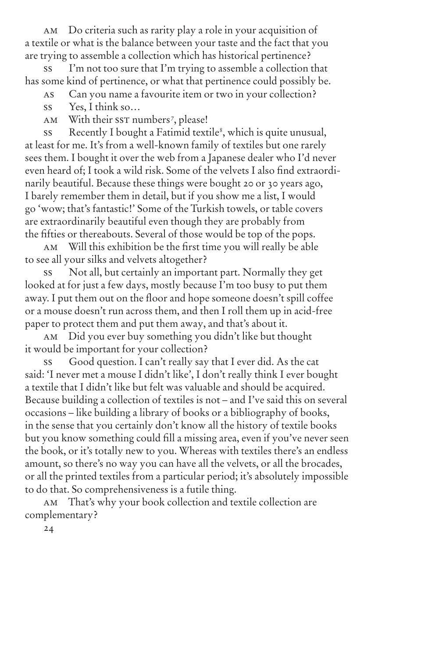am Do criteria such as rarity play a role in your acquisition of a textile or what is the balance between your taste and the fact that you are trying to assemble a collection which has historical pertinence?

ss I'm not too sure that I'm trying to assemble a collection that has some kind of pertinence, or what that pertinence could possibly be.

- as Can you name a favourite item or two in your collection?
- ss Yes, I think so…
- AM With their SST numbers<sup>7</sup>, please!

ss Recently I bought a Fatimid textile<sup>8</sup>, which is quite unusual, at least for me. It's from a well-known family of textiles but one rarely sees them. I bought it over the web from a Japanese dealer who I'd never even heard of; I took a wild risk. Some of the velvets I also find extraordinarily beautiful. Because these things were bought 20 or 30 years ago, I barely remember them in detail, but if you show me a list, I would go 'wow; that's fantastic!' Some of the Turkish towels, or table covers are extraordinarily beautiful even though they are probably from the fifties or thereabouts. Several of those would be top of the pops.

am Will this exhibition be the first time you will really be able to see all your silks and velvets altogether?

ss Not all, but certainly an important part. Normally they get looked at for just a few days, mostly because I'm too busy to put them away. I put them out on the floor and hope someone doesn't spill coffee or a mouse doesn't run across them, and then I roll them up in acid-free paper to protect them and put them away, and that's about it.

am Did you ever buy something you didn't like but thought it would be important for your collection?

ss Good question. I can't really say that I ever did. As the cat said: 'I never met a mouse I didn't like', I don't really think I ever bought a textile that I didn't like but felt was valuable and should be acquired. Because building a collection of textiles is not – and I've said this on several occasions – like building a library of books or a bibliography of books, in the sense that you certainly don't know all the history of textile books but you know something could fill a missing area, even if you've never seen the book, or it's totally new to you. Whereas with textiles there's an endless amount, so there's no way you can have all the velvets, or all the brocades, or all the printed textiles from a particular period; it's absolutely impossible to do that. So comprehensiveness is a futile thing.

am That's why your book collection and textile collection are complementary?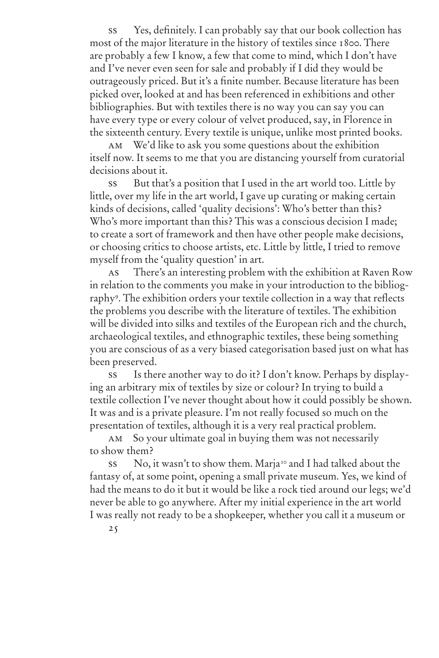ss Yes, definitely. I can probably say that our book collection has most of the major literature in the history of textiles since 1800. There are probably a few I know, a few that come to mind, which I don't have and I've never even seen for sale and probably if I did they would be outrageously priced. But it's a finite number. Because literature has been picked over, looked at and has been referenced in exhibitions and other bibliographies. But with textiles there is no way you can say you can have every type or every colour of velvet produced, say, in Florence in the sixteenth century. Every textile is unique, unlike most printed books.

am We'd like to ask you some questions about the exhibition itself now. It seems to me that you are distancing yourself from curatorial decisions about it.

ss But that's a position that I used in the art world too. Little by little, over my life in the art world, I gave up curating or making certain kinds of decisions, called 'quality decisions': Who's better than this? Who's more important than this? This was a conscious decision I made; to create a sort of framework and then have other people make decisions, or choosing critics to choose artists, etc. Little by little, I tried to remove myself from the 'quality question' in art.

as There's an interesting problem with the exhibition at Raven Row in relation to the comments you make in your introduction to the bibliography9 . The exhibition orders your textile collection in a way that reflects the problems you describe with the literature of textiles. The exhibition will be divided into silks and textiles of the European rich and the church, archaeological textiles, and ethnographic textiles, these being something you are conscious of as a very biased categorisation based just on what has been preserved.

ss Is there another way to do it? I don't know. Perhaps by displaying an arbitrary mix of textiles by size or colour? In trying to build a textile collection I've never thought about how it could possibly be shown. It was and is a private pleasure. I'm not really focused so much on the presentation of textiles, although it is a very real practical problem.

am So your ultimate goal in buying them was not necessarily to show them?

ss No, it wasn't to show them. Marja<sup>10</sup> and I had talked about the fantasy of, at some point, opening a small private museum. Yes, we kind of had the means to do it but it would be like a rock tied around our legs; we'd never be able to go anywhere. After my initial experience in the art world I was really not ready to be a shopkeeper, whether you call it a museum or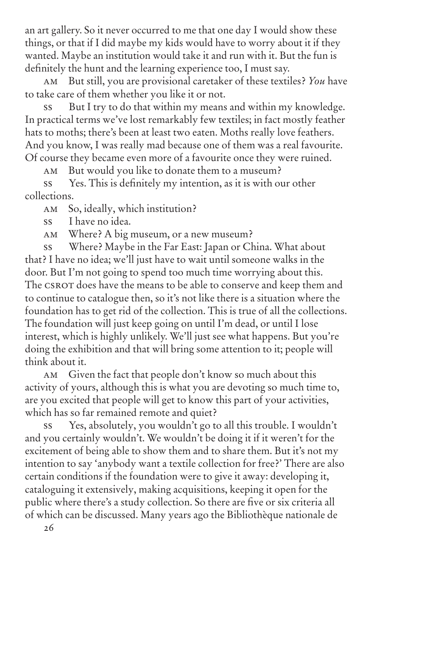an art gallery. So it never occurred to me that one day I would show these things, or that if I did maybe my kids would have to worry about it if they wanted. Maybe an institution would take it and run with it. But the fun is definitely the hunt and the learning experience too, I must say.

am But still, you are provisional caretaker of these textiles? *You* have to take care of them whether you like it or not.

ss But I try to do that within my means and within my knowledge. In practical terms we've lost remarkably few textiles; in fact mostly feather hats to moths; there's been at least two eaten. Moths really love feathers. And you know, I was really mad because one of them was a real favourite. Of course they became even more of a favourite once they were ruined.

am But would you like to donate them to a museum?

ss Yes. This is definitely my intention, as it is with our other collections.

am So, ideally, which institution?

ss I have no idea.

am Where? A big museum, or a new museum?

ss Where? Maybe in the Far East: Japan or China. What about that? I have no idea; we'll just have to wait until someone walks in the door. But I'm not going to spend too much time worrying about this. The csrot does have the means to be able to conserve and keep them and to continue to catalogue then, so it's not like there is a situation where the foundation has to get rid of the collection. This is true of all the collections. The foundation will just keep going on until I'm dead, or until I lose interest, which is highly unlikely. We'll just see what happens. But you're doing the exhibition and that will bring some attention to it; people will think about it.

am Given the fact that people don't know so much about this activity of yours, although this is what you are devoting so much time to, are you excited that people will get to know this part of your activities, which has so far remained remote and quiet?

ss Yes, absolutely, you wouldn't go to all this trouble. I wouldn't and you certainly wouldn't. We wouldn't be doing it if it weren't for the excitement of being able to show them and to share them. But it's not my intention to say 'anybody want a textile collection for free?' There are also certain conditions if the foundation were to give it away: developing it, cataloguing it extensively, making acquisitions, keeping it open for the public where there's a study collection. So there are five or six criteria all of which can be discussed. Many years ago the Bibliothèque nationale de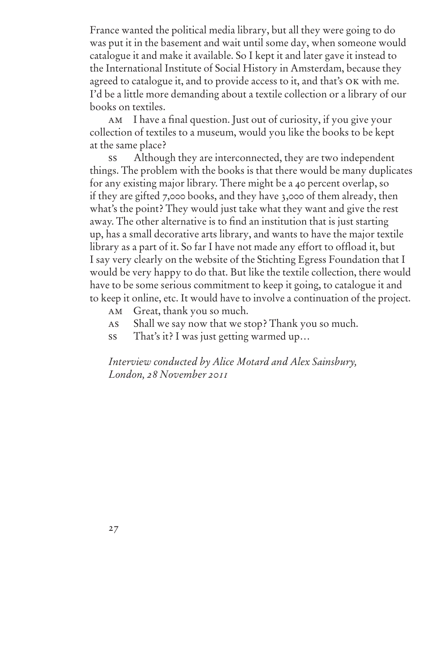France wanted the political media library, but all they were going to do was put it in the basement and wait until some day, when someone would catalogue it and make it available. So I kept it and later gave it instead to the International Institute of Social History in Amsterdam, because they agreed to catalogue it, and to provide access to it, and that's ok with me. I'd be a little more demanding about a textile collection or a library of our books on textiles.

am I have a final question. Just out of curiosity, if you give your collection of textiles to a museum, would you like the books to be kept at the same place?

ss Although they are interconnected, they are two independent things. The problem with the books is that there would be many duplicates for any existing major library. There might be a 40 percent overlap, so if they are gifted 7,000 books, and they have 3,000 of them already, then what's the point? They would just take what they want and give the rest away. The other alternative is to find an institution that is just starting up, has a small decorative arts library, and wants to have the major textile library as a part of it. So far I have not made any effort to offload it, but I say very clearly on the website of the Stichting Egress Foundation that I would be very happy to do that. But like the textile collection, there would have to be some serious commitment to keep it going, to catalogue it and to keep it online, etc. It would have to involve a continuation of the project.

- am Great, thank you so much.
- as Shall we say now that we stop? Thank you so much.
- ss That's it? I was just getting warmed up…

*Interview conducted by Alice Motard and Alex Sainsbury, London, 28 November 2011*